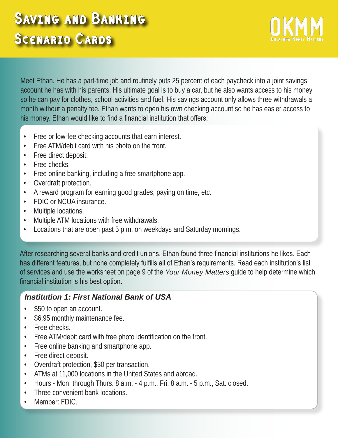Meet Ethan. He has a part-time job and routinely puts 25 percent of each paycheck into a joint savings account he has with his parents. His ultimate goal is to buy a car, but he also wants access to his money so he can pay for clothes, school activities and fuel. His savings account only allows three withdrawals a month without a penalty fee. Ethan wants to open his own checking account so he has easier access to his money. Ethan would like to find a financial institution that offers:

- Free or low-fee checking accounts that earn interest.
- Free ATM/debit card with his photo on the front.
- Free direct deposit.
- Free checks.
- Free online banking, including a free smartphone app.
- Overdraft protection.
- A reward program for earning good grades, paying on time, etc.
- FDIC or NCUA insurance.
- Multiple locations.
- Multiple ATM locations with free withdrawals.
- Locations that are open past 5 p.m. on weekdays and Saturday mornings.

After researching several banks and credit unions, Ethan found three financial institutions he likes. Each has different features, but none completely fulfills all of Ethan's requirements. Read each institution's list of services and use the worksheet on page 9 of the *Your Money Matters* guide to help determine which financial institution is his best option.

## *Institution 1: First National Bank of USA*

- \$50 to open an account.
- \$6.95 monthly maintenance fee.
- Free checks.
- Free ATM/debit card with free photo identification on the front.
- Free online banking and smartphone app.
- Free direct deposit.
- Overdraft protection, \$30 per transaction.
- ATMs at 11,000 locations in the United States and abroad.
- Hours Mon. through Thurs. 8 a.m. 4 p.m., Fri. 8 a.m. 5 p.m., Sat. closed.
- Three convenient bank locations.
- Member: FDIC.